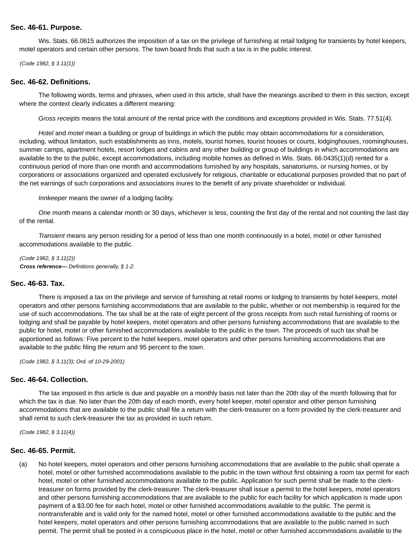## **Sec. 46-61. Purpose.**

Wis. Stats. 66.0615 authorizes the imposition of a tax on the privilege of furnishing at retail lodging for transients by hotel keepers, motel operators and certain other persons. The town board finds that such a tax is in the public interest.

(Code 1982, § 3.11(1))

#### **Sec. 46-62. Definitions.**

The following words, terms and phrases, when used in this article, shall have the meanings ascribed to them in this section, except where the context clearly indicates a different meaning:

Gross receipts means the total amount of the rental price with the conditions and exceptions provided in Wis. Stats. 77.51(4).

Hotel and motel mean a building or group of buildings in which the public may obtain accommodations for a consideration, including, without limitation, such establishments as inns, motels, tourist homes, tourist houses or courts, lodginghouses, roominghouses, summer camps, apartment hotels, resort lodges and cabins and any other building or group of buildings in which accommodations are available to the to the public, except accommodations, including mobile homes as defined in Wis. Stats. 66.0435(1)(d) rented for a continuous period of more than one month and accommodations furnished by any hospitals, sanatoriums, or nursing homes, or by corporations or associations organized and operated exclusively for religious, charitable or educational purposes provided that no part of the net earnings of such corporations and associations inures to the benefit of any private shareholder or individual.

Innkeeper means the owner of a lodging facility.

One month means a calendar month or 30 days, whichever is less, counting the first day of the rental and not counting the last day of the rental.

Transient means any person residing for a period of less than one month continuously in a hotel, motel or other furnished accommodations available to the public.

(Code 1982, § 3.11(2)) **Cross reference—** Definitions generally, § 1-2.

### **Sec. 46-63. Tax.**

There is imposed a tax on the privilege and service of furnishing at retail rooms or lodging to transients by hotel keepers, motel operators and other persons furnishing accommodations that are available to the public, whether or not membership is required for the use of such accommodations. The tax shall be at the rate of eight percent of the gross receipts from such retail furnishing of rooms or lodging and shall be payable by hotel keepers, motel operators and other persons furnishing accommodations that are available to the public for hotel, motel or other furnished accommodations available to the public in the town. The proceeds of such tax shall be apportioned as follows: Five percent to the hotel keepers, motel operators and other persons furnishing accommodations that are available to the public filing the return and 95 percent to the town.

(Code 1982, § 3.11(3); Ord. of 10-29-2001)

## **Sec. 46-64. Collection.**

The tax imposed in this article is due and payable on a monthly basis not later than the 20th day of the month following that for which the tax is due. No later than the 20th day of each month, every hotel keeper, motel operator and other person furnishing accommodations that are available to the public shall file a return with the clerk-treasurer on a form provided by the clerk-treasurer and shall remit to such clerk-treasurer the tax as provided in such return.

(Code 1982, § 3.11(4))

### **Sec. 46-65. Permit.**

(a) No hotel keepers, motel operators and other persons furnishing accommodations that are available to the public shall operate a hotel, motel or other furnished accommodations available to the public in the town without first obtaining a room tax permit for each hotel, motel or other furnished accommodations available to the public. Application for such permit shall be made to the clerktreasurer on forms provided by the clerk-treasurer. The clerk-treasurer shall issue a permit to the hotel keepers, motel operators and other persons furnishing accommodations that are available to the public for each facility for which application is made upon payment of a \$3.00 fee for each hotel, motel or other furnished accommodations available to the public. The permit is nontransferable and is valid only for the named hotel, motel or other furnished accommodations available to the public and the hotel keepers, motel operators and other persons furnishing accommodations that are available to the public named in such permit. The permit shall be posted in a conspicuous place in the hotel, motel or other furnished accommodations available to the